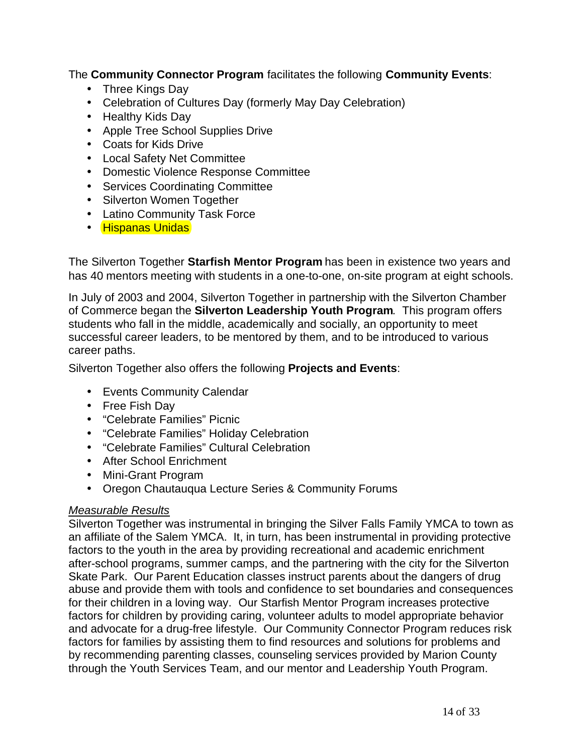The **Community Connector Program** facilitates the following **Community Events**:

- Three Kings Day
- Celebration of Cultures Day (formerly May Day Celebration)
- Healthy Kids Day
- Apple Tree School Supplies Drive
- Coats for Kids Drive
- Local Safety Net Committee
- Domestic Violence Response Committee
- Services Coordinating Committee
- Silverton Women Together
- Latino Community Task Force
- Hispanas Unidas

The Silverton Together **Starfish Mentor Program** has been in existence two years and has 40 mentors meeting with students in a one-to-one, on-site program at eight schools.

In July of 2003 and 2004, Silverton Together in partnership with the Silverton Chamber of Commerce began the **Silverton Leadership Youth Program**. This program offers students who fall in the middle, academically and socially, an opportunity to meet successful career leaders, to be mentored by them, and to be introduced to various career paths.

Silverton Together also offers the following **Projects and Events**:

- Events Community Calendar
- Free Fish Day
- "Celebrate Families" Picnic
- "Celebrate Families" Holiday Celebration
- "Celebrate Families" Cultural Celebration
- After School Enrichment
- Mini-Grant Program
- Oregon Chautauqua Lecture Series & Community Forums

## *Measurable Results*

Silverton Together was instrumental in bringing the Silver Falls Family YMCA to town as an affiliate of the Salem YMCA. It, in turn, has been instrumental in providing protective factors to the youth in the area by providing recreational and academic enrichment after-school programs, summer camps, and the partnering with the city for the Silverton Skate Park. Our Parent Education classes instruct parents about the dangers of drug abuse and provide them with tools and confidence to set boundaries and consequences for their children in a loving way. Our Starfish Mentor Program increases protective factors for children by providing caring, volunteer adults to model appropriate behavior and advocate for a drug-free lifestyle. Our Community Connector Program reduces risk factors for families by assisting them to find resources and solutions for problems and by recommending parenting classes, counseling services provided by Marion County through the Youth Services Team, and our mentor and Leadership Youth Program.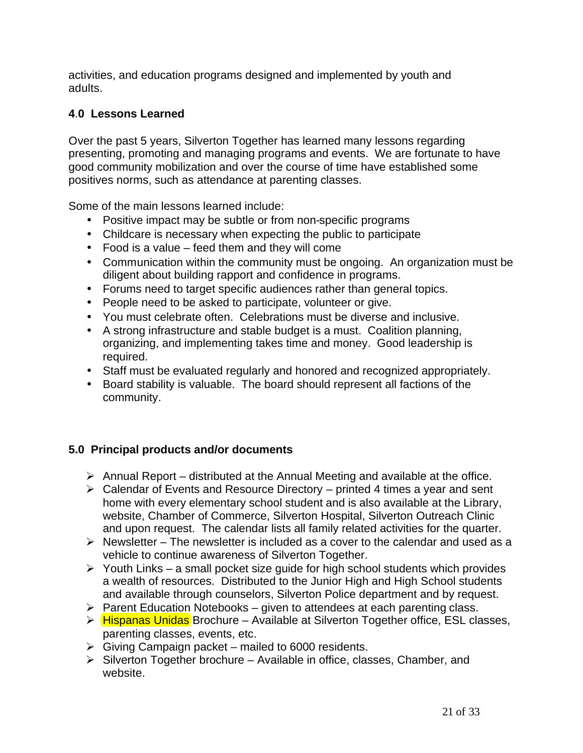activities, and education programs designed and implemented by youth and adults.

# **4**.**0 Lessons Learned**

Over the past 5 years, Silverton Together has learned many lessons regarding presenting, promoting and managing programs and events. We are fortunate to have good community mobilization and over the course of time have established some positives norms, such as attendance at parenting classes.

Some of the main lessons learned include:

- Positive impact may be subtle or from non-specific programs
- Childcare is necessary when expecting the public to participate
- Food is a value feed them and they will come
- Communication within the community must be ongoing. An organization must be diligent about building rapport and confidence in programs.
- Forums need to target specific audiences rather than general topics.
- People need to be asked to participate, volunteer or give.
- You must celebrate often. Celebrations must be diverse and inclusive.
- A strong infrastructure and stable budget is a must. Coalition planning, organizing, and implementing takes time and money. Good leadership is required.
- Staff must be evaluated regularly and honored and recognized appropriately.
- Board stability is valuable. The board should represent all factions of the community.

## **5.0 Principal products and/or documents**

- $\triangleright$  Annual Report distributed at the Annual Meeting and available at the office.
- $\triangleright$  Calendar of Events and Resource Directory printed 4 times a year and sent home with every elementary school student and is also available at the Library, website, Chamber of Commerce, Silverton Hospital, Silverton Outreach Clinic and upon request. The calendar lists all family related activities for the quarter.
- $\triangleright$  Newsletter The newsletter is included as a cover to the calendar and used as a vehicle to continue awareness of Silverton Together.
- $\triangleright$  Youth Links a small pocket size guide for high school students which provides a wealth of resources. Distributed to the Junior High and High School students and available through counselors, Silverton Police department and by request.
- $\triangleright$  Parent Education Notebooks given to attendees at each parenting class.
- > Hispanas Unidas Brochure Available at Silverton Together office, ESL classes, parenting classes, events, etc.
- $\triangleright$  Giving Campaign packet mailed to 6000 residents.
- $\triangleright$  Silverton Together brochure Available in office, classes, Chamber, and website.